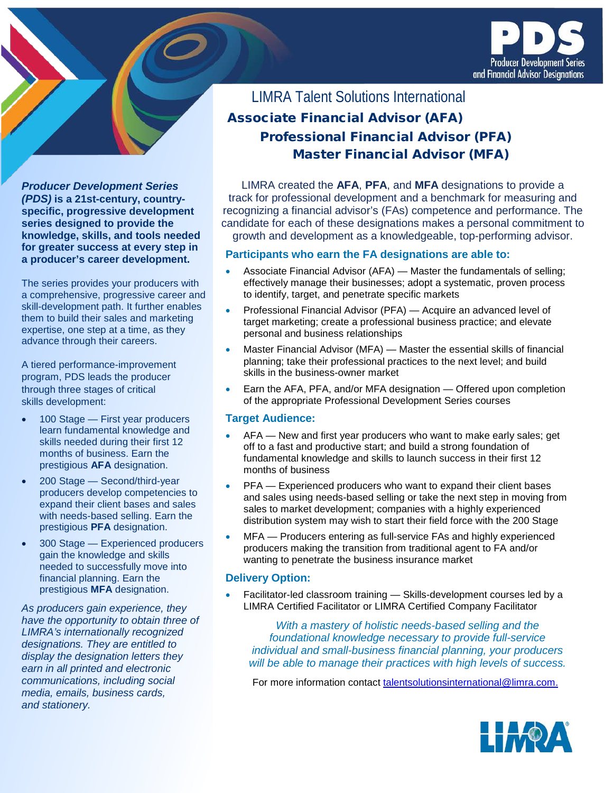

# Associate Financial Advisor (AFA) Professional Financial Advisor (PFA) Master Financial Advisor (MFA) LIMRA Talent Solutions International

LIMRA created the **AFA**, **PFA**, and **MFA** designations to provide a track for professional development and a benchmark for measuring and recognizing a financial advisor's (FAs) competence and performance. The candidate for each of these designations makes a personal commitment to growth and development as a knowledgeable, top-performing advisor.

### **Participants who earn the FA designations are able to:**

- Associate Financial Advisor (AFA) Master the fundamentals of selling; effectively manage their businesses; adopt a systematic, proven process to identify, target, and penetrate specific markets
- Professional Financial Advisor (PFA) Acquire an advanced level of target marketing; create a professional business practice; and elevate personal and business relationships
- Master Financial Advisor (MFA) Master the essential skills of financial planning; take their professional practices to the next level; and build skills in the business-owner market
- Earn the AFA, PFA, and/or MFA designation Offered upon completion of the appropriate Professional Development Series courses

### **Target Audience:**

- AFA New and first year producers who want to make early sales; get off to a fast and productive start; and build a strong foundation of fundamental knowledge and skills to launch success in their first 12 months of business
- PFA Experienced producers who want to expand their client bases and sales using needs-based selling or take the next step in moving from sales to market development; companies with a highly experienced distribution system may wish to start their field force with the 200 Stage
- MFA Producers entering as full-service FAs and highly experienced producers making the transition from traditional agent to FA and/or wanting to penetrate the business insurance market

### **Delivery Option:**

• Facilitator-led classroom training — Skills-development courses led by a LIMRA Certified Facilitator or LIMRA Certified Company Facilitator

*With a mastery of holistic needs-based selling and the foundational knowledge necessary to provide full-service individual and small-business financial planning, your producers will be able to manage their practices with high levels of success.*

For more information contact [talentsolutionsinternational@limra.com.](mailto:talentsolutionsinternational@limra.com)



*Producer Development Series (PDS)* **is a 21st-century, countryspecific, progressive development series designed to provide the knowledge, skills, and tools needed for greater success at every step in a producer's career development.**

The series provides your producers with a comprehensive, progressive career and skill-development path. It further enables them to build their sales and marketing expertise, one step at a time, as they advance through their careers.

A tiered performance-improvement program, PDS leads the producer through three stages of critical skills development:

- 100 Stage First year producers learn fundamental knowledge and skills needed during their first 12 months of business. Earn the prestigious **AFA** designation.
- 200 Stage Second/third-year producers develop competencies to expand their client bases and sales with needs-based selling. Earn the prestigious **PFA** designation.
- 300 Stage Experienced producers gain the knowledge and skills needed to successfully move into financial planning. Earn the prestigious **MFA** designation.

*As producers gain experience, they have the opportunity to obtain three of LIMRA's internationally recognized designations. They are entitled to display the designation letters they earn in all printed and electronic communications, including social media, emails, business cards, and stationery.*